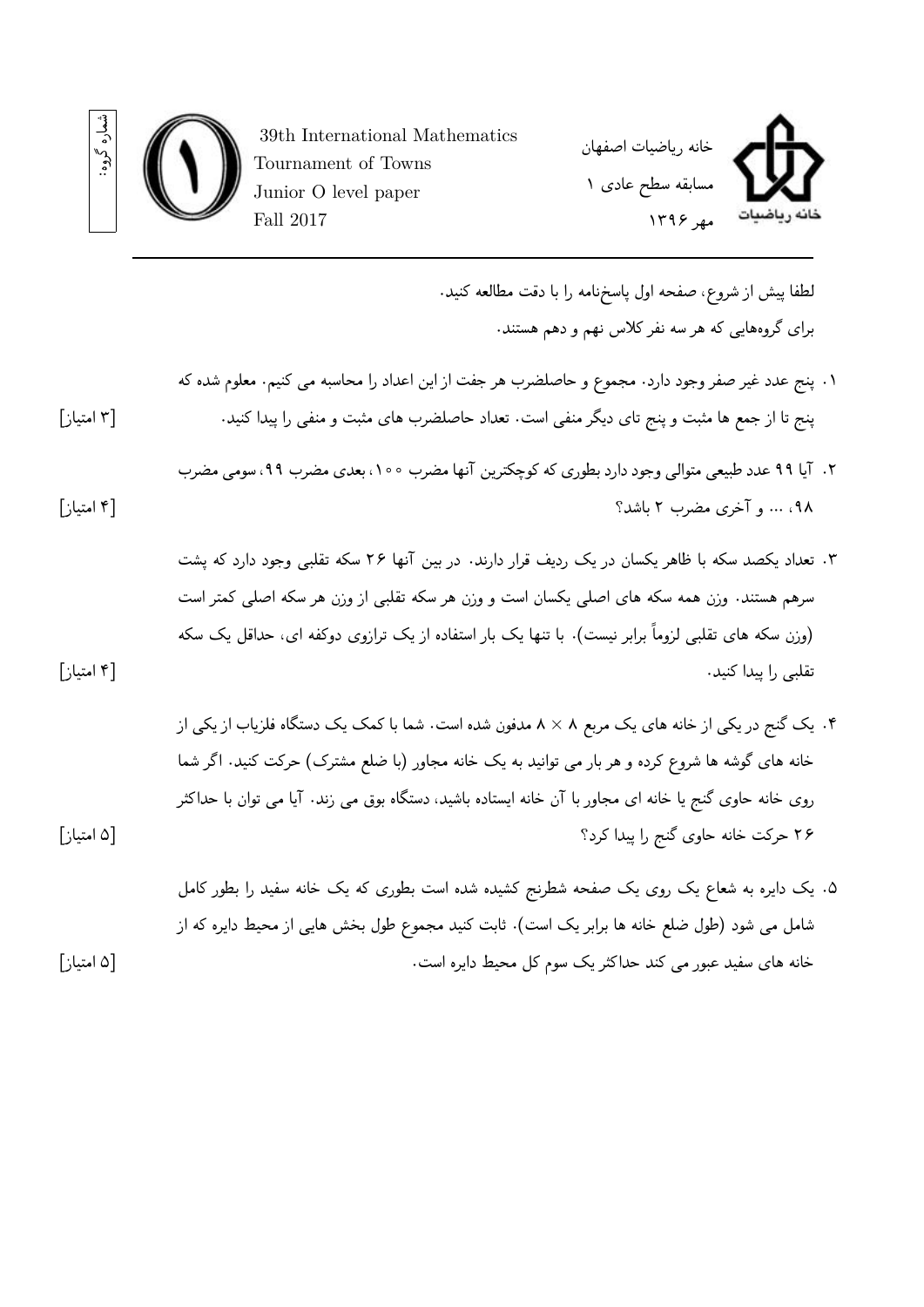



.١ پنج عدد غیر صفر وجود دارد. مجموع و حاصلضرب هر جفت از این اعداد را محاسبه می کنیم. معلوم شده که پنج تا از جمع ها مثبت و پنج تای دیگر منفی است. تعداد حاصلضرب های مثبت و منفی را پیدا کنید. [٣ امتیاز]

Junior O level paper

Fall 2017

- .٢ آیا ٩٩ عدد طبیعی متوالی وجود دارد بطوری که کوچکترین آنها مضرب ،١٠٠ بعدی مضرب ،٩٩ سومی مضرب ،٩٨ ... و آخری مضرب ٢ باشد؟ [۴ امتیاز]
- .٣ تعداد یکصد سکه با ظاهر یکسان در یک ردیف قرار دارند. در بین آنها ٢۶ سکه تقلبی وجود دارد که پشت سرهم هستند. وزن همه سکه های اصلی یکسان است و وزن هر سکه تقلبی از وزن هر سکه اصلی کمتر است (وزن سکه های تقلبی لزوماً برابر نیست). با تنها یک بار استفاده از یک ترازوی دوکفه ای، حداقل یک سکه تقلبی را پیدا کنید. [۴ امتیاز]
- .۴ یک گنج در یکی از خانه های یک مربع ٨ *×* ٨ مدفون شده است. شما با کمک یک دستگاه فلزیاب از یکی از خانه های گوشه ها شروع کرده و هر بار می توانید به یک خانه مجاور (با ضلع مشترک) حرکت کنید. اگر شما روی خانه حاوی گنج یا خانه ای مجاور با آن خانه ایستاده باشید، دستگاه بوق می زند. آیا می توان با حداکثر ٢۶ حرکت خانه حاوی گنج را پیدا کرد؟ [۵ امتیاز]
- .۵ یک دایره به شعاع یک روی یک صفحه شطرنج کشیده شده است بطوری که یک خانه سفید را بطور کامل شامل می شود (طول ضلع خانه ها برابر یک است). ثابت کنید مجموع طول بخش هایی از محیط دایره که از خانه های سفید عبور می کند حداکثر یک سوم کل محیط دایره است. [۵ امتیاز]

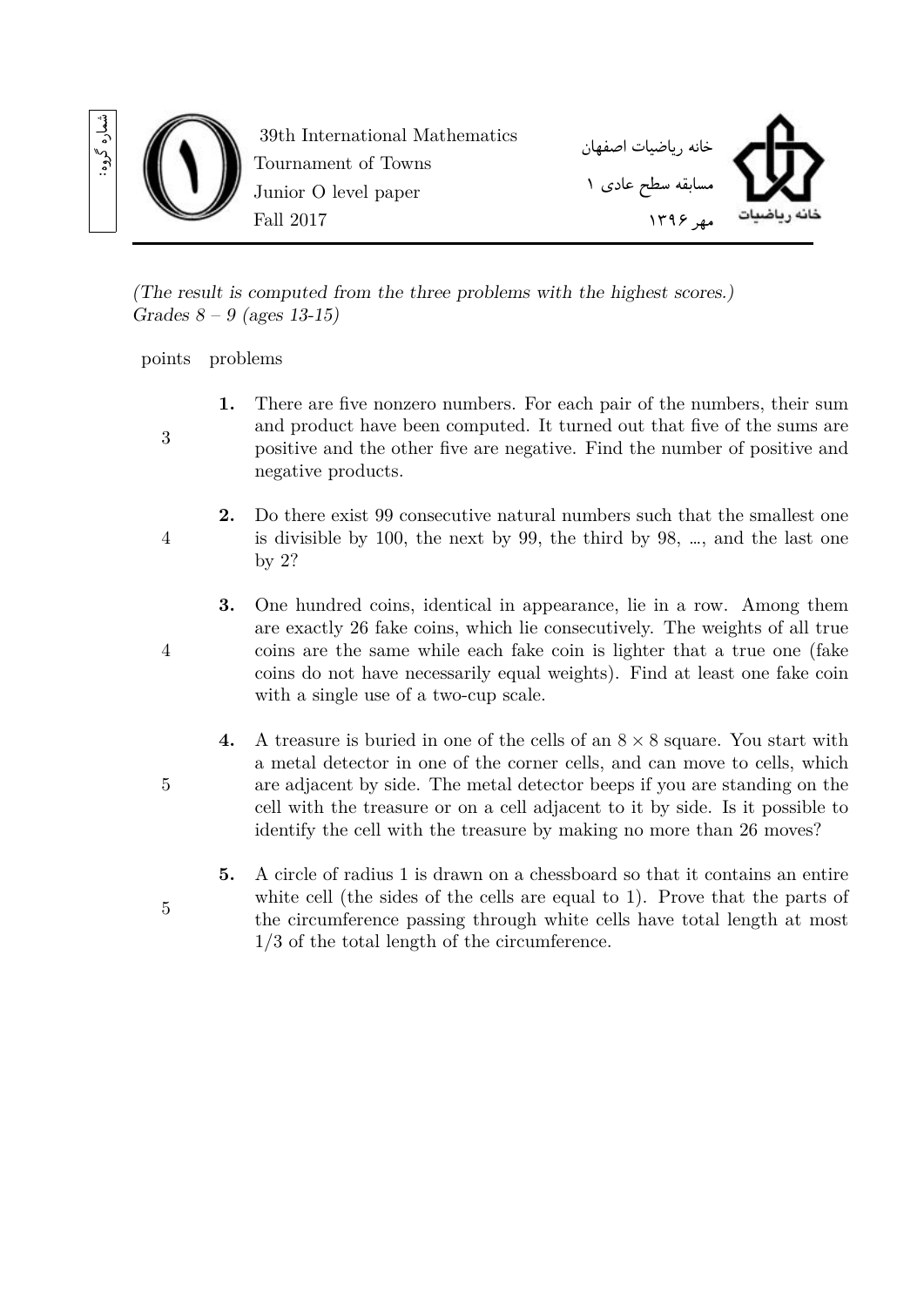

*(The result is computed from the three problems with the highest scores.) Grades 8 – 9 (ages 13-15)*

points problems

3

4

4

- **1.** There are five nonzero numbers. For each pair of the numbers, their sum and product have been computed. It turned out that five of the sums are positive and the other five are negative. Find the number of positive and negative products.
- **2.** Do there exist 99 consecutive natural numbers such that the smallest one is divisible by 100, the next by 99, the third by 98, …, and the last one by 2?
	- **3.** One hundred coins, identical in appearance, lie in a row. Among them are exactly 26 fake coins, which lie consecutively. The weights of all true coins are the same while each fake coin is lighter that a true one (fake coins do not have necessarily equal weights). Find at least one fake coin with a single use of a two-cup scale.
	- **4.** A treasure is buried in one of the cells of an 8 *×* 8 square. You start with a metal detector in one of the corner cells, and can move to cells, which are adjacent by side. The metal detector beeps if you are standing on the cell with the treasure or on a cell adjacent to it by side. Is it possible to identify the cell with the treasure by making no more than 26 moves?
	- **5.** A circle of radius 1 is drawn on a chessboard so that it contains an entire white cell (the sides of the cells are equal to 1). Prove that the parts of the circumference passing through white cells have total length at most 1/3 of the total length of the circumference.
- 5

5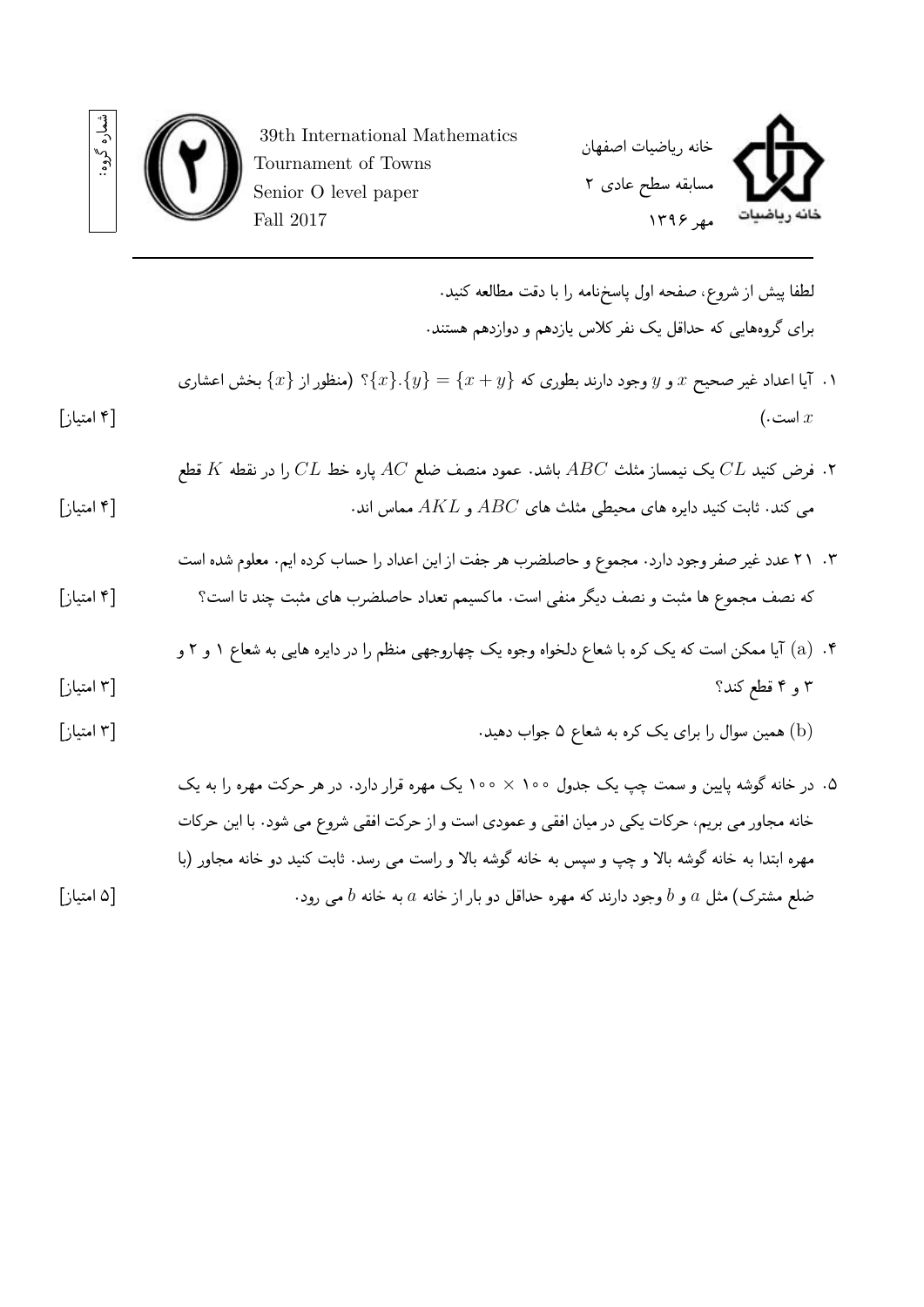

39th International Mathematics Tournament of Towns Senior O level paper Fall 2017

شماره گروه:

لطفا پيش از شروع، صفحه اول پاسخ نامه را با دقت مطالعه کنيد. برای گروه هایی که حداقل یک نفر کلاس یازدهم و دوازدهم هستند.

- .١ آیا اعداد غیر صحیح *x* و *y* وجود دارند بطوری که *{y* + *x}* = *{y{.}x{*؟ (منظور از *{x {*بخش اعشاری *x* است.) [۴ امتیاز]
- .٢ فرض کنید *CL* یک نیمساز مثلث *ABC* باشد. عمود منصف ضلع *AC* پاره خط *CL* را در نقطه *K* قطع می کند. ثابت کنید دایره های محیطی مثلث های *ABC* و *AKL* مماس اند. [۴ امتیاز]
- .٣ ٢١ عدد غیر صفر وجود دارد. مجموع و حاصلضرب هر جفت از این اعداد را حساب کرده ایم. معلوم شده است که نصف مجموع ها مثبت و نصف دیگر منفی است. ماکسیمم تعداد حاصلضرب های مثبت چند تا است؟ [۴ امتیاز]
- .۴ (a (آیا ممکن است که یک کره با شعاع دلخواه وجوه یک چهاروجهی منظم را در دایره هایی به شعاع ١ و ٢ و ٣ و ۴ قطع کند؟ [٣ امتیاز]
- (b (همین سوال را برای یک کره به شعاع ۵ جواب دهید. [٣ امتیاز]
- .۵ در خانه گوشه پایین و سمت چپ یک جدول ١٠٠ *×* ١٠٠ یک مهره قرار دارد. در هر حرکت مهره را به یک خانه مجاور می بریم، حرکات یکی در میان افقی و عمودی است و از حرکت افقی شروع می شود. با این حرکات مهره ابتدا به خانه گوشه بالا و چپ و سپس به خانه گوشه بالا و راست می رسد. ثابت کنید دو خانه مجاور (با ضلع مشترک) مثل *a* و *b* وجود دارند که مهره حداقل دو بار از خانه *a* به خانه *b* می رود. [۵ امتیاز]